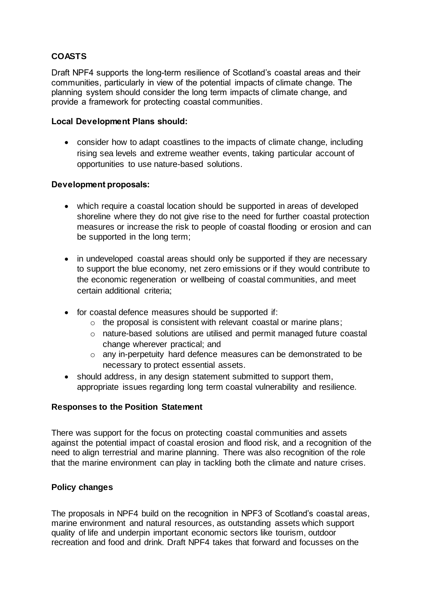# **COASTS**

Draft NPF4 supports the long-term resilience of Scotland's coastal areas and their communities, particularly in view of the potential impacts of climate change. The planning system should consider the long term impacts of climate change, and provide a framework for protecting coastal communities.

### **Local Development Plans should:**

 consider how to adapt coastlines to the impacts of climate change, including rising sea levels and extreme weather events, taking particular account of opportunities to use nature-based solutions.

### **Development proposals:**

- which require a coastal location should be supported in areas of developed shoreline where they do not give rise to the need for further coastal protection measures or increase the risk to people of coastal flooding or erosion and can be supported in the long term;
- in undeveloped coastal areas should only be supported if they are necessary to support the blue economy, net zero emissions or if they would contribute to the economic regeneration or wellbeing of coastal communities, and meet certain additional criteria;
- for coastal defence measures should be supported if:
	- $\circ$  the proposal is consistent with relevant coastal or marine plans;
	- o nature-based solutions are utilised and permit managed future coastal change wherever practical; and
	- o any in-perpetuity hard defence measures can be demonstrated to be necessary to protect essential assets.
- should address, in any design statement submitted to support them, appropriate issues regarding long term coastal vulnerability and resilience.

### **Responses to the Position Statement**

There was support for the focus on protecting coastal communities and assets against the potential impact of coastal erosion and flood risk, and a recognition of the need to align terrestrial and marine planning. There was also recognition of the role that the marine environment can play in tackling both the climate and nature crises.

## **Policy changes**

The proposals in NPF4 build on the recognition in NPF3 of Scotland's coastal areas, marine environment and natural resources, as outstanding assets which support quality of life and underpin important economic sectors like tourism, outdoor recreation and food and drink. Draft NPF4 takes that forward and focusses on the